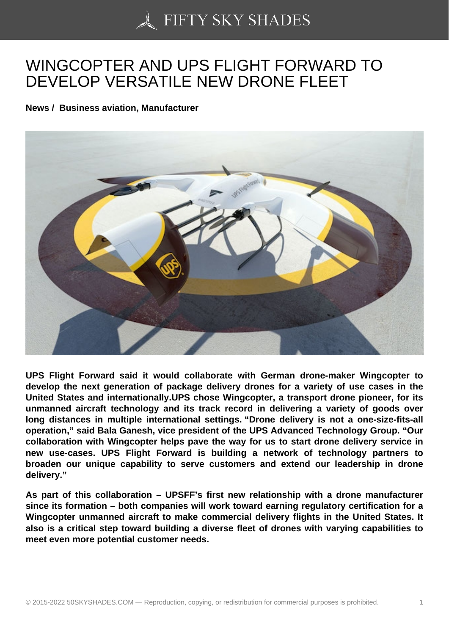## [WINGCOPTER AND U](https://50skyshades.com)PS FLIGHT FORWARD TO DEVELOP VERSATILE NEW DRONE FLEET

News / Business aviation, Manufacturer

UPS Flight Forward said it would collaborate with German drone-maker Wingcopter to develop the next generation of package delivery drones for a variety of use cases in the United States and internationally.UPS chose Wingcopter, a transport drone pioneer, for its unmanned aircraft technology and its track record in delivering a variety of goods over long distances in multiple international settings. "Drone delivery is not a one-size-fits-all operation," said Bala Ganesh, vice president of the UPS Advanced Technology Group. "Our collaboration with Wingcopter helps pave the way for us to start drone delivery service in new use-cases. UPS Flight Forward is building a network of technology partners to broaden our unique capability to serve customers and extend our leadership in drone delivery."

As part of this collaboration – UPSFF's first new relationship with a drone manufacturer since its formation – both companies will work toward earning regulatory certification for a Wingcopter unmanned aircraft to make commercial delivery flights in the United States. It also is a critical step toward building a diverse fleet of drones with varying capabilities to meet even more potential customer needs.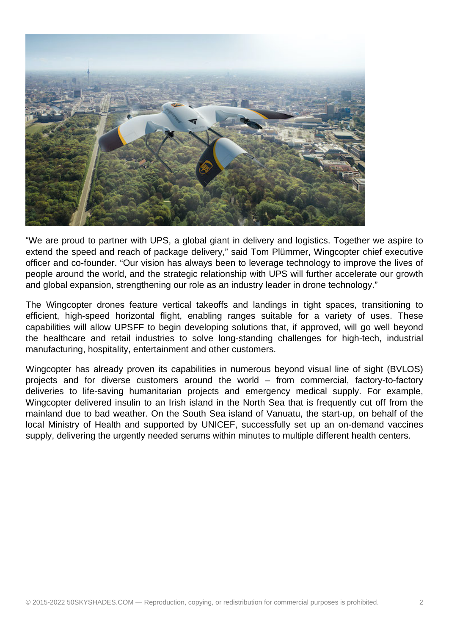

"We are proud to partner with UPS, a global giant in delivery and logistics. Together we aspire to extend the speed and reach of package delivery," said Tom Plümmer, Wingcopter chief executive officer and co-founder. "Our vision has always been to leverage technology to improve the lives of people around the world, and the strategic relationship with UPS will further accelerate our growth and global expansion, strengthening our role as an industry leader in drone technology."

The Wingcopter drones feature vertical takeoffs and landings in tight spaces, transitioning to efficient, high-speed horizontal flight, enabling ranges suitable for a variety of uses. These capabilities will allow UPSFF to begin developing solutions that, if approved, will go well beyond the healthcare and retail industries to solve long-standing challenges for high-tech, industrial manufacturing, hospitality, entertainment and other customers.

Wingcopter has already proven its capabilities in numerous beyond visual line of sight (BVLOS) projects and for diverse customers around the world – from commercial, factory-to-factory deliveries to life-saving humanitarian projects and emergency medical supply. For example, Wingcopter delivered insulin to an Irish island in the North Sea that is frequently cut off from the mainland due to bad weather. On the South Sea island of Vanuatu, the start-up, on behalf of the local Ministry of Health and supported by UNICEF, successfully set up an on-demand vaccines supply, delivering the urgently needed serums within minutes to multiple different health centers.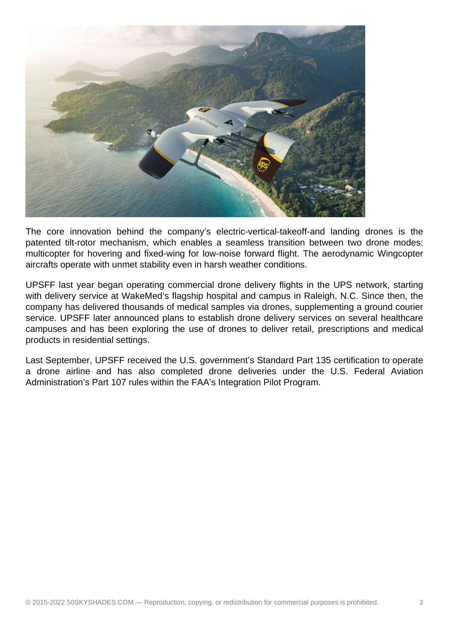

The core innovation behind the company's electric-vertical-takeoff-and landing drones is the patented tilt-rotor mechanism, which enables a seamless transition between two drone modes: multicopter for hovering and fixed-wing for low-noise forward flight. The aerodynamic Wingcopter aircrafts operate with unmet stability even in harsh weather conditions.

UPSFF last year began operating commercial drone delivery flights in the UPS network, starting with delivery service at WakeMed's flagship hospital and campus in Raleigh, N.C. Since then, the company has delivered thousands of medical samples via drones, supplementing a ground courier service. UPSFF later announced plans to establish drone delivery services on several healthcare campuses and has been exploring the use of drones to deliver retail, prescriptions and medical products in residential settings.

Last September, UPSFF received the U.S. government's Standard Part 135 certification to operate a drone airline and has also completed drone deliveries under the U.S. Federal Aviation Administration's Part 107 rules within the FAA's Integration Pilot Program.